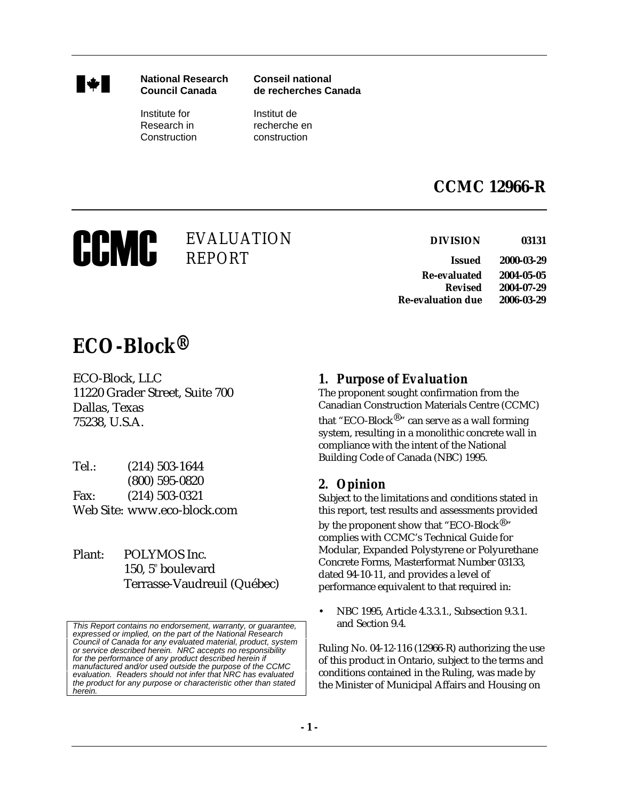

**National Research Conseil national Council Canada de recherches Canada** 

Institute for Institut de Construction construction

Research in recherche en

## **CCMC 12966-R**

# CCMC

**CON EVALUATION DIVISION DIVISION ISSUED ISSUED ISSUED ISSUED ISSUED ISSUED ISSUED ISSUED ISSUED ISSUED ISSUED ISSUED ISSUED ISSUED** 

**Re-evaluated 2004-05-05 Revised 2004-07-29 Re-evaluation due 2006-03-29** 

# *ECO-Block®*

ECO-Block, LLC 11220 Grader Street, Suite 700 Dallas, Texas 75238, U.S.A.

- Tel.: (214) 503-1644 (800) 595-0820 Fax: (214) 503-0321 Web Site: www.eco-block.com
- Plant: POLYMOS Inc. 150, 5<sup>e</sup> boulevard Terrasse-Vaudreuil (Québec)

This Report contains no endorsement, warranty, or guarantee, expressed or implied, on the part of the National Research Council of Canada for any evaluated material, product, system or service described herein. NRC accepts no responsibility for the performance of any product described herein if manufactured and/or used outside the purpose of the CCMC evaluation. Readers should not infer that NRC has evaluated the product for any purpose or characteristic other than stated herein.

### *1. Purpose of Evaluation*

The proponent sought confirmation from the Canadian Construction Materials Centre (CCMC) that "ECO-Block $^{\circledR}$ " can serve as a wall forming system, resulting in a monolithic concrete wall in compliance with the intent of the National Building Code of Canada (NBC) 1995.

#### *2. Opinion*

Subject to the limitations and conditions stated in this report, test results and assessments provided

by the proponent show that "ECO-Block $^{\circledR}$ " complies with CCMC's Technical Guide for Modular, Expanded Polystyrene or Polyurethane Concrete Forms, Masterformat Number 03133, dated 94-10-11, and provides a level of performance equivalent to that required in:

• NBC 1995, Article 4.3.3.1., Subsection 9.3.1. and Section 9.4.

Ruling No. 04-12-116 (12966-R) authorizing the use of this product in Ontario, subject to the terms and conditions contained in the Ruling, was made by the Minister of Municipal Affairs and Housing on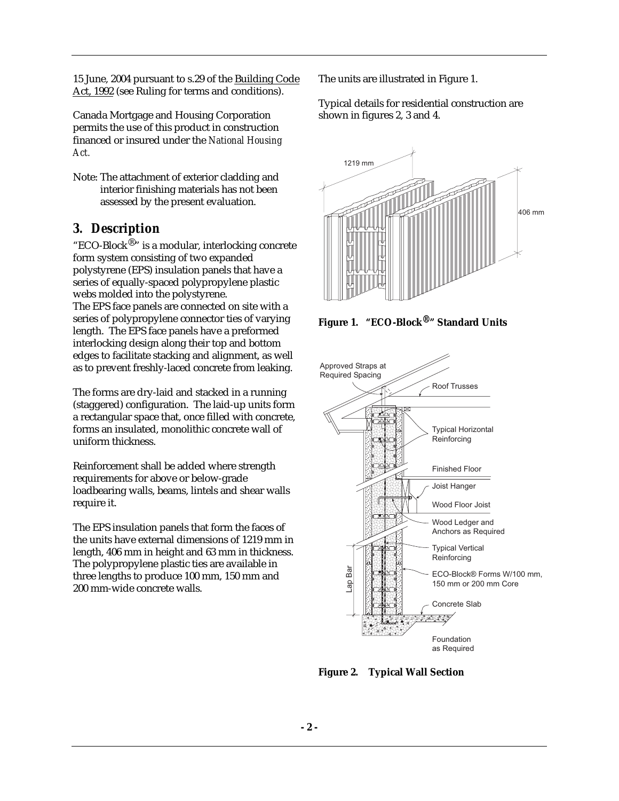15 June, 2004 pursuant to s.29 of the Building Code Act, 1992 (see Ruling for terms and conditions).

Canada Mortgage and Housing Corporation permits the use of this product in construction financed or insured under the *National Housing Act.*

Note: The attachment of exterior cladding and interior finishing materials has not been assessed by the present evaluation.

#### *3. Description*

"ECO-Block®" is a modular, interlocking concrete form system consisting of two expanded polystyrene (EPS) insulation panels that have a series of equally-spaced polypropylene plastic webs molded into the polystyrene. The EPS face panels are connected on site with a series of polypropylene connector ties of varying length. The EPS face panels have a preformed interlocking design along their top and bottom edges to facilitate stacking and alignment, as well as to prevent freshly-laced concrete from leaking.

The forms are dry-laid and stacked in a running (staggered) configuration. The laid-up units form a rectangular space that, once filled with concrete, forms an insulated, monolithic concrete wall of uniform thickness.

Reinforcement shall be added where strength requirements for above or below-grade loadbearing walls, beams, lintels and shear walls require it.

The EPS insulation panels that form the faces of the units have external dimensions of 1219 mm in length, 406 mm in height and 63 mm in thickness. The polypropylene plastic ties are available in three lengths to produce 100 mm, 150 mm and 200 mm-wide concrete walls.

The units are illustrated in Figure 1.

Typical details for residential construction are shown in figures 2, 3 and 4.



**Figure 1. "ECO-Block®" Standard Units**



**Figure 2. Typical Wall Section**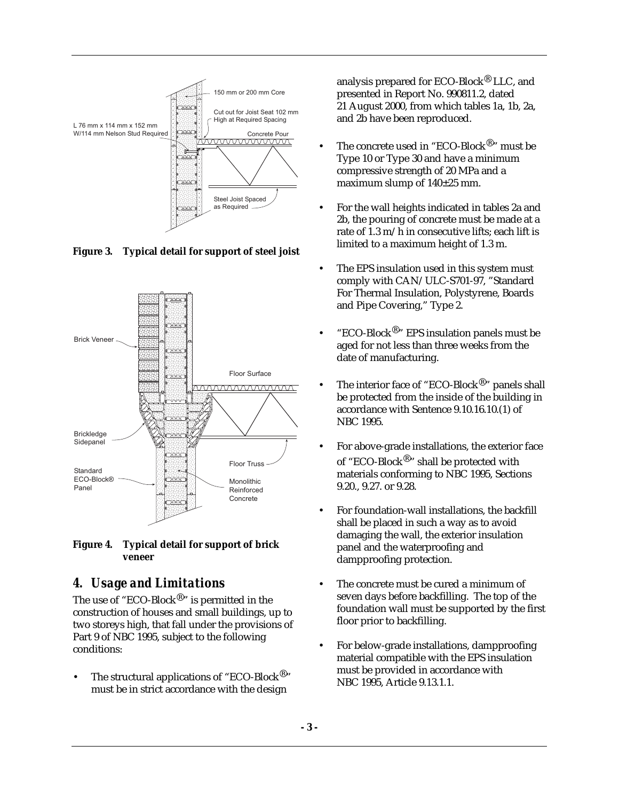

**Figure 3. Typical detail for support of steel joist**



**Figure 4. Typical detail for support of brick veneer**

#### *4. Usage and Limitations*

The use of "ECO-Block<sup>®</sup>" is permitted in the construction of houses and small buildings, up to two storeys high, that fall under the provisions of Part 9 of NBC 1995, subject to the following conditions:

The structural applications of "ECO-Block<sup>®</sup>" must be in strict accordance with the design

analysis prepared for ECO-Block® LLC, and presented in Report No. 990811.2, dated 21 August 2000, from which tables 1a, 1b, 2a, and 2b have been reproduced.

- The concrete used in "ECO-Block<sup>®</sup>" must be Type 10 or Type 30 and have a minimum compressive strength of 20 MPa and a maximum slump of 140±25 mm.
- For the wall heights indicated in tables 2a and 2b, the pouring of concrete must be made at a rate of 1.3 m/h in consecutive lifts; each lift is limited to a maximum height of 1.3 m.
- The EPS insulation used in this system must comply with CAN/ULC-S701-97, "Standard For Thermal Insulation, Polystyrene, Boards and Pipe Covering," Type 2.
- "ECO-Block®" EPS insulation panels must be aged for not less than three weeks from the date of manufacturing.
- The interior face of "ECO-Block<sup>®</sup>" panels shall be protected from the inside of the building in accordance with Sentence 9.10.16.10.(1) of NBC 1995.
- For above-grade installations, the exterior face of "ECO-Block<sup>®</sup>" shall be protected with materials conforming to NBC 1995, Sections 9.20., 9.27. or 9.28.
- For foundation-wall installations, the backfill shall be placed in such a way as to avoid damaging the wall, the exterior insulation panel and the waterproofing and dampproofing protection.
- The concrete must be cured a minimum of seven days before backfilling. The top of the foundation wall must be supported by the first floor prior to backfilling.
- For below-grade installations, dampproofing material compatible with the EPS insulation must be provided in accordance with NBC 1995, Article 9.13.1.1.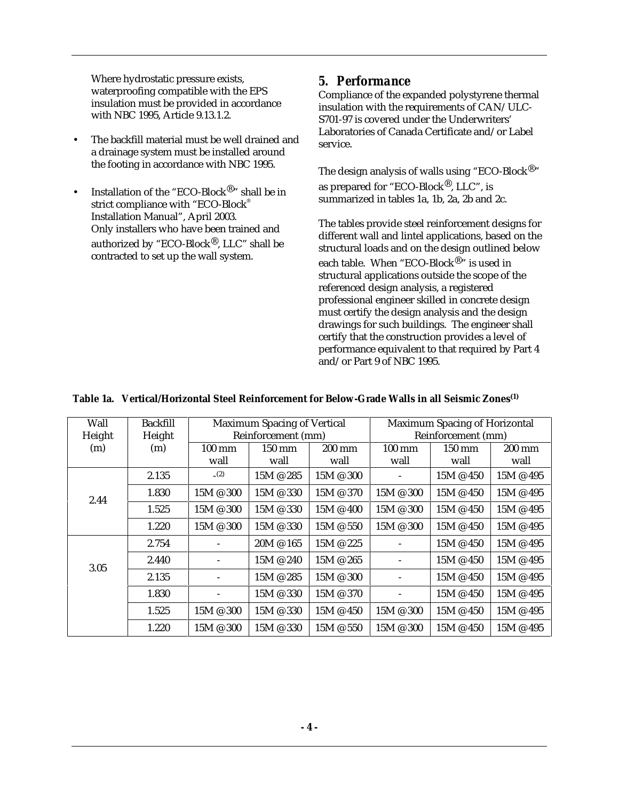Where hydrostatic pressure exists, waterproofing compatible with the EPS insulation must be provided in accordance with NBC 1995, Article 9.13.1.2.

- The backfill material must be well drained and a drainage system must be installed around the footing in accordance with NBC 1995.
- Installation of the "ECO-Block®" shall be in strict compliance with "ECO-Block® Installation Manual", April 2003. Only installers who have been trained and authorized by "ECO-Block®, LLC" shall be contracted to set up the wall system.

#### *5. Performance*

Compliance of the expanded polystyrene thermal insulation with the requirements of CAN/ULC-S701-97 is covered under the Underwriters' Laboratories of Canada Certificate and/or Label service.

The design analysis of walls using "ECO-Block<sup>®</sup>" as prepared for "ECO-Block®, LLC", is summarized in tables 1a, 1b, 2a, 2b and 2c.

The tables provide steel reinforcement designs for different wall and lintel applications, based on the structural loads and on the design outlined below each table. When "ECO-Block $^{\circledR}$  " is used in structural applications outside the scope of the referenced design analysis, a registered professional engineer skilled in concrete design must certify the design analysis and the design drawings for such buildings. The engineer shall certify that the construction provides a level of performance equivalent to that required by Part 4 and/or Part 9 of NBC 1995.

|  | Table 1a. Vertical/Horizontal Steel Reinforcement for Below-Grade Walls in all Seismic Zones <sup>(1)</sup> |  |  |
|--|-------------------------------------------------------------------------------------------------------------|--|--|
|--|-------------------------------------------------------------------------------------------------------------|--|--|

| Wall   | <b>Backfill</b> |                          | <b>Maximum Spacing of Vertical</b> |                   |                          | <b>Maximum Spacing of Horizontal</b> |                          |
|--------|-----------------|--------------------------|------------------------------------|-------------------|--------------------------|--------------------------------------|--------------------------|
| Height | Height          |                          | Reinforcement (mm)                 |                   |                          | Reinforcement (mm)                   |                          |
| (m)    | (m)             | $100 \text{ mm}$<br>wall | 150 mm<br>wall                     | 200 mm<br>wall    | $100 \text{ mm}$<br>wall | $150 \text{ mm}$<br>wall             | $200 \text{ mm}$<br>wall |
|        | 2.135           | (2)                      | $15M \otimes 285$                  | $15M \otimes 300$ |                          | $15M \otimes 450$                    | 15M @ 495                |
| 2.44   | 1.830           | 15M @ 300                | $15M \otimes 330$                  | 15M @ 370         | 15M @ 300                | 15M @ 450                            | 15M @ 495                |
|        | 1.525           | 15M @ 300                | $15M \otimes 330$                  | $15M \otimes 400$ | 15M @ 300                | $15M \& 450$                         | 15M @ 495                |
|        | 1.220           | 15M @ 300                | $15M \otimes 330$                  | $15M \otimes 550$ | $15M \otimes 300$        | $15M \otimes 450$                    | 15M @ 495                |
|        | 2.754           |                          | $20M \otimes 165$                  | 15M @ 225         |                          | 15M @ 450                            | 15M @ 495                |
| 3.05   | 2.440           |                          | 15M @ 240                          | 15M @ 265         |                          | $15M \otimes 450$                    | 15M @ 495                |
|        | 2.135           |                          | $15M \otimes 285$                  | $15M \otimes 300$ | -                        | 15M @ 450                            | 15M @ 495                |
|        | 1.830           |                          | $15M \otimes 330$                  | $15M \otimes 370$ |                          | $15M \& 450$                         | 15M @ 495                |
|        | 1.525           | 15M @ 300                | 15M @ 330                          | $15M \otimes 450$ | 15M @ 300                | 15M @ 450                            | 15M @ 495                |
|        | 1.220           | $15M \t{Q} 300$          | $15M \otimes 330$                  | $15M \otimes 550$ | 15M @ 300                | 15M @ 450                            | 15M @ 495                |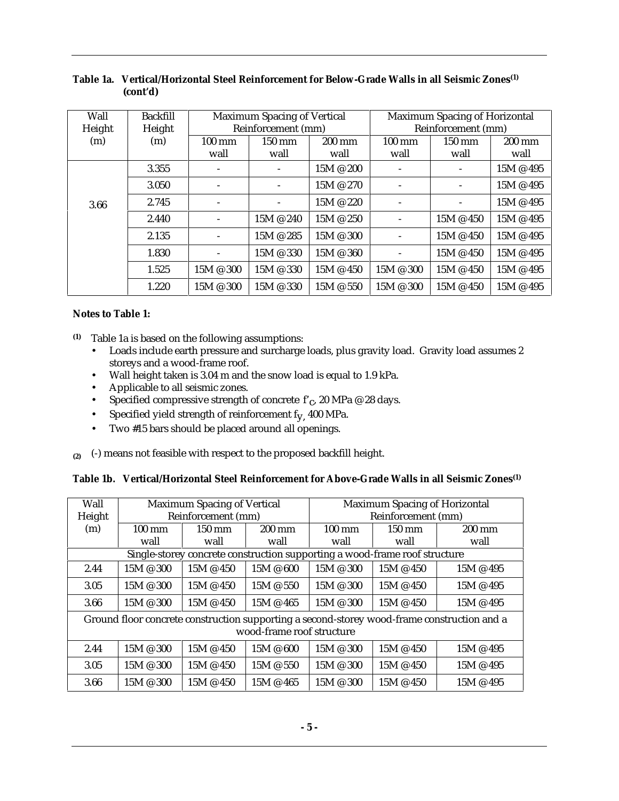| Wall   | <b>Backfill</b> |                  | <b>Maximum Spacing of Vertical</b> |                      |                          | Maximum Spacing of Horizontal |           |
|--------|-----------------|------------------|------------------------------------|----------------------|--------------------------|-------------------------------|-----------|
| Height | Height          |                  | Reinforcement (mm)                 |                      |                          | Reinforcement (mm)            |           |
| (m)    | (m)             | $100 \text{ mm}$ | 150 mm                             | $200 \text{ mm}$     | $100 \text{ mm}$         | 150 mm                        | 200 mm    |
|        |                 | wall             | wall                               | wall                 | wall                     | wall                          | wall      |
|        | 3.355           |                  | $\overline{\phantom{a}}$           | 15M @ 200            | $\overline{\phantom{0}}$ |                               | 15M @ 495 |
|        | 3.050           |                  | $\overline{\phantom{a}}$           | 15M @ 270            | $\overline{\phantom{a}}$ |                               | 15M @ 495 |
| 3.66   | 2.745           |                  |                                    | 15M @ 220            |                          |                               | 15M @ 495 |
|        | 2.440           |                  | $15M \otimes 240$                  | $15M \otimes 250$    |                          | $15M \otimes 450$             | 15M @ 495 |
|        | 2.135           |                  | 15M @ 285                          | $15M \t{O} 300$      | $\blacksquare$           | $15M \otimes 450$             | 15M @ 495 |
|        | 1.830           |                  | $15M \t{\odot } 330$               | $15M \t{\odot } 360$ |                          | 15M @ 450                     | 15M @ 495 |
|        | 1.525           | 15M @ 300        | 15M @ 330                          | $15M \& 450$         | 15M @ 300                | 15M @ 450                     | 15M @ 495 |
|        | 1.220           | $15M \ @ \ 300$  | $15M \ @$ 330                      | $15M \otimes 550$    | $15M \t{\odot }300$      | $15M \otimes 450$             | 15M @ 495 |

#### **Table 1a. Vertical/Horizontal Steel Reinforcement for Below-Grade Walls in all Seismic Zones(1) (cont'd)**

#### **Notes to Table 1:**

- **(1)** Table 1a is based on the following assumptions:
	- Loads include earth pressure and surcharge loads, plus gravity load. Gravity load assumes 2 storeys and a wood-frame roof.
	- Wall height taken is 3.04 m and the snow load is equal to 1.9 kPa.
	- Applicable to all seismic zones.
	- Specified compressive strength of concrete  $f_c$ , 20 MPa @ 28 days.
	- Specified yield strength of reinforcement  $f_y$ , 400 MPa.
	- Two #15 bars should be placed around all openings.
- **(2)** (-) means not feasible with respect to the proposed backfill height.

|  | Table 1b. Vertical/Horizontal Steel Reinforcement for Above-Grade Walls in all Seismic Zones <sup>(1)</sup> |  |  |  |  |
|--|-------------------------------------------------------------------------------------------------------------|--|--|--|--|
|--|-------------------------------------------------------------------------------------------------------------|--|--|--|--|

| Wall   |                     | <b>Maximum Spacing of Vertical</b> |                           |                 | <b>Maximum Spacing of Horizontal</b>                                       |                                                                                             |
|--------|---------------------|------------------------------------|---------------------------|-----------------|----------------------------------------------------------------------------|---------------------------------------------------------------------------------------------|
| Height |                     | Reinforcement (mm)                 |                           |                 | Reinforcement (mm)                                                         |                                                                                             |
| (m)    | $100 \text{ mm}$    | 150 mm                             | 200 mm                    | 100 mm          | 150 mm                                                                     | $200$ mm                                                                                    |
|        | wall                | wall                               | wall                      | wall            | wall                                                                       | wall                                                                                        |
|        |                     |                                    |                           |                 | Single-storey concrete construction supporting a wood-frame roof structure |                                                                                             |
| 2.44   | $15M \ @ \ 300$     | $15M \& 450$                       | $15M \& 600$              | $15M \ @ \ 300$ | $15M \& 450$                                                               | 15M @ 495                                                                                   |
| 3.05   | $15M \ @ \ 300$     | $15M \& 450$                       | $15M \& 550$              | $15M \t{Q} 300$ | $15M \& 450$                                                               | 15M @ 495                                                                                   |
| 3.66   | $15M \ @ \ 300$     | $15M \& 450$                       | 15M @ 465                 | $15M \ @ \ 300$ | $15M \& 450$                                                               | 15M @ 495                                                                                   |
|        |                     |                                    |                           |                 |                                                                            | Ground floor concrete construction supporting a second-storey wood-frame construction and a |
|        |                     |                                    | wood-frame roof structure |                 |                                                                            |                                                                                             |
| 2.44   | $15M \ @ \ 300$     | $15M \& 450$                       | $15M \& 600$              | $15M \ @ \ 300$ | $15M \& 450$                                                               | 15M @ 495                                                                                   |
| 3.05   | $15M \t{\odot }300$ | 15M @ 450                          | 15M @ 550                 | $15M \t{Q} 300$ | $15M \& 450$                                                               | $15M \& 495$                                                                                |
| 3.66   | $15M \ @ \ 300$     | $15M \& 450$                       | $15M \& 465$              | 15M @ 300       | $15M \& 450$                                                               | 15M @ 495                                                                                   |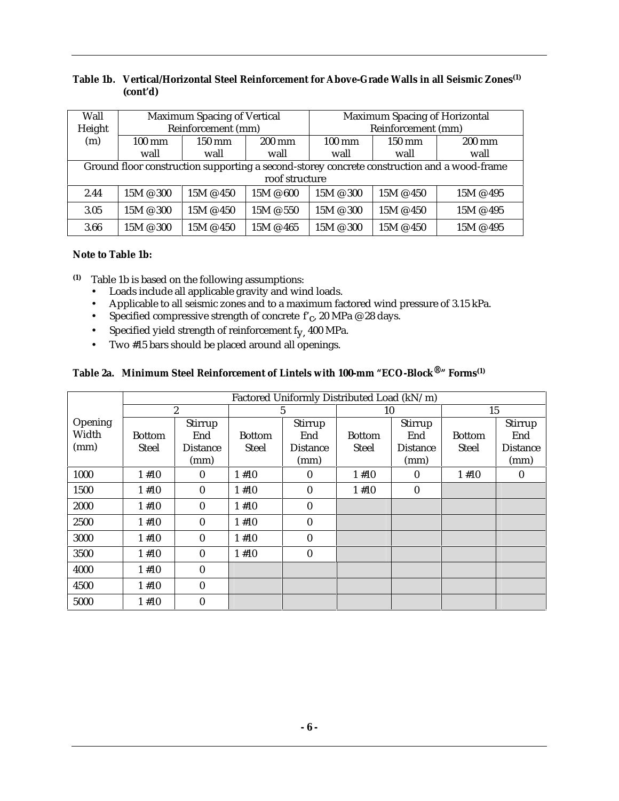#### **Table 1b. Vertical/Horizontal Steel Reinforcement for Above-Grade Walls in all Seismic Zones(1) (cont'd)**

| Wall   |                     | <b>Maximum Spacing of Vertical</b> |                  | <b>Maximum Spacing of Horizontal</b> |                    |                                                                                             |  |  |
|--------|---------------------|------------------------------------|------------------|--------------------------------------|--------------------|---------------------------------------------------------------------------------------------|--|--|
| Height |                     | Reinforcement (mm)                 |                  |                                      | Reinforcement (mm) |                                                                                             |  |  |
| (m)    | $100 \text{ mm}$    | 150 mm                             | $200 \text{ mm}$ | $100 \text{ mm}$                     | $150 \text{ mm}$   | $200 \text{ mm}$                                                                            |  |  |
|        | wall                | wall                               | wall             | wall                                 | wall               | wall                                                                                        |  |  |
|        |                     |                                    |                  |                                      |                    | Ground floor construction supporting a second-storey concrete construction and a wood-frame |  |  |
|        |                     |                                    | roof structure   |                                      |                    |                                                                                             |  |  |
| 2.44   | $15M \t{\odot }300$ | $15M \& 450$                       | 15M @ 600        | $15M \t{\odot }300$                  | $15M \& 450$       | 15M @ 495                                                                                   |  |  |
| 3.05   | 15M @ 300           | $15M \& 450$                       | 15M @ 550        | $15M \t{\odot }300$                  | $15M \& 450$       | 15M @ 495                                                                                   |  |  |
| 3.66   | 15M @ 300           | $15M \& 450$                       | 15M @ 465        | $15M \t{\odot }300$                  | $15M \& 450$       | 15M @ 495                                                                                   |  |  |

#### **Note to Table 1b:**

- **(1)** Table 1b is based on the following assumptions:
	- Loads include all applicable gravity and wind loads.
	- Applicable to all seismic zones and to a maximum factored wind pressure of 3.15 kPa.
	- Specified compressive strength of concrete  $f_c$ , 20 MPa @ 28 days.
	- Specified yield strength of reinforcement  $f_y$ , 400 MPa.<br>• Two #15 bars should be placed around all openings.
	- Two #15 bars should be placed around all openings.

# **Table 2a. Minimum Steel Reinforcement of Lintels with 100-mm "ECO-Block®" Forms(1)**

|         |               |                  |               | Factored Uniformly Distributed Load (kN/m) |                          |          |               |                 |
|---------|---------------|------------------|---------------|--------------------------------------------|--------------------------|----------|---------------|-----------------|
|         |               | $\boldsymbol{2}$ |               | 5                                          |                          | 10       |               | 15              |
| Opening |               | Stirrup          |               | Stirrup                                    |                          | Stirrup  |               | Stirrup         |
| Width   | <b>Bottom</b> | End              | <b>Bottom</b> | End                                        | <b>Bottom</b>            | End      | <b>Bottom</b> | End             |
| (mm)    | <b>Steel</b>  | <b>Distance</b>  | <b>Steel</b>  | <b>Distance</b>                            | Steel<br><b>Distance</b> |          | <b>Steel</b>  | <b>Distance</b> |
|         |               | (mm)             |               | (mm)                                       |                          | (mm)     |               | (mm)            |
| 1000    | 1#10          | $\mathbf{0}$     | 1#10          | $\bf{0}$                                   | 1#10                     | $\bf{0}$ | 1#10          | $\bf{0}$        |
| 1500    | 1#10          | $\mathbf{0}$     | 1#10          | $\mathbf{0}$                               | 1#10                     | $\bf{0}$ |               |                 |
| 2000    | 1#10          | $\mathbf{0}$     | 1#10          | $\mathbf{0}$                               |                          |          |               |                 |
| 2500    | 1#10          | $\mathbf{0}$     | 1#10          | $\bf{0}$                                   |                          |          |               |                 |
| 3000    | 1#10          | $\mathbf{0}$     | 1#10          | $\mathbf{0}$                               |                          |          |               |                 |
| 3500    | 1#10          | $\mathbf{0}$     | 1#10          | $\boldsymbol{0}$                           |                          |          |               |                 |
| 4000    | 1#10          | $\mathbf{0}$     |               |                                            |                          |          |               |                 |
| 4500    | 1#10          | $\bf{0}$         |               |                                            |                          |          |               |                 |
| 5000    | 1#10          | $\bf{0}$         |               |                                            |                          |          |               |                 |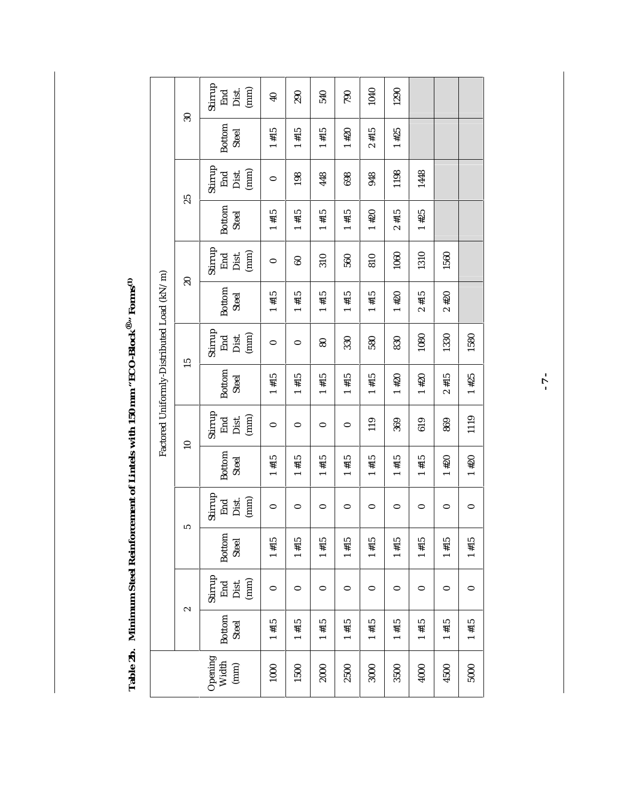Table 2b. Minimum Steel Reinforcement of Lintels with 150 mm "ECO-Block®" Forms<sup>(1)</sup> **Table 2b. Minimum Steel Reinforcement of Lintels with 150 mm "ECO-Block®" Forms(1)**

|                                           |                 |                                 |                        |                                                  |                        |                                 | Factored Uniformly-Distributed Load (kN/m) |                                      |                               |                                 |                        |                                                       |                          |                                 |
|-------------------------------------------|-----------------|---------------------------------|------------------------|--------------------------------------------------|------------------------|---------------------------------|--------------------------------------------|--------------------------------------|-------------------------------|---------------------------------|------------------------|-------------------------------------------------------|--------------------------|---------------------------------|
|                                           |                 | $\sim$                          | ທ                      |                                                  | $\overline{10}$        |                                 | 15                                         |                                      | $\overline{6}$                |                                 | 25                     |                                                       | $\overline{\mathcal{S}}$ |                                 |
| Opening<br>Width<br>$\left( \min \right)$ | Bottom<br>Steel | Stirrup<br>End<br>Dist.<br>(mm) | <b>Bottom</b><br>Steel | Stirrup<br>$\left( \min \right)$<br>End<br>Dist. | Bottom<br><b>Steel</b> | Stirrup<br>End<br>Dist.<br>(mm) | Bottom<br>Steel                            | Stirrup<br>${\rm Dist.}$ (mm)<br>End | <b>Bottom</b><br><b>Steel</b> | Stirrup<br>(mm)<br>End<br>Dist. | Bottom<br><b>Steel</b> | Stirrup<br>${\rm Dist.}$ (mm)<br>$\operatorname{End}$ | Bottom<br>Steel          | Stirrup<br>End<br>Dist.<br>(mm) |
| 1000                                      | $1 + 15$        | 0                               | $1 + 15$               | 0                                                | $1 + 15$               | 0                               | $1 + 15$                                   | 0                                    | $1 + 15$                      | $\bullet$                       | $1 + 15$               | 0                                                     | $1 + 15$                 | $\overline{\mathbf{40}}$        |
| 1500                                      | $1 + 15$        | 0                               | $1 + 15$               | 0                                                | 1#15                   | 0                               | $1 + 15$                                   | 0                                    | $1 + 15$                      | 8                               | 1#15                   | 198                                                   | 1#15                     | 290                             |
| 2000                                      | $1 + 15$        | $\bullet$                       | $1 + 15$               | 0                                                | $1 + 15$               | 0                               | $1 + 15$                                   | $80\,$                               | $1 + 15$                      | 310                             | $1 + 15$               | 448                                                   | 1#15                     | 540                             |
| 2500                                      | $1 + 15$        | $\bullet$                       | $1 + 15$               | 0                                                | 1#15                   | $\bullet$                       | $1*15$                                     | 330                                  | 1#15                          | 560                             | $1 + 15$               | 698                                                   | $1 + 20$                 | 790                             |
| 3000                                      | $1 + 15$        | $\bullet$                       | 1#15                   | 0                                                | $1 + 15$               | 119                             | $1 + 15$                                   | 580                                  | 1#15                          | 810                             | $1 + 20$               | 948                                                   | $2 + 15$                 | 1040                            |
| 3500                                      | $1 + 15$        | 0                               | $1 + 15$               | 0                                                | #15                    | 369                             | $1 + 20$                                   | 830                                  | $1 + 20$                      | 1060                            | $2 + 15$               | 1198                                                  | $1 + 25$                 | 1290                            |
| 4000                                      | $1 + 15$        | 0                               | $1 + 15$               | 0                                                | #15                    | 619                             | $1 + 20$                                   | 1080                                 | $2 + 15$                      | 1310                            | $1 + 25$               | 1448                                                  |                          |                                 |
| 4500                                      | $1 + 15$        | $\bullet$                       | $1 + 15$               | 0                                                | $1*20$                 | 869                             | $2 + 15$                                   | 1330                                 | $2*20$                        | 1560                            |                        |                                                       |                          |                                 |
| 5000                                      | $1 + 15$        | $\circ$                         | $1 + 15$               | 0                                                | $1*20$                 | 1119                            | $1 + 25$                                   | 1580                                 |                               |                                 |                        |                                                       |                          |                                 |

**- 7 -**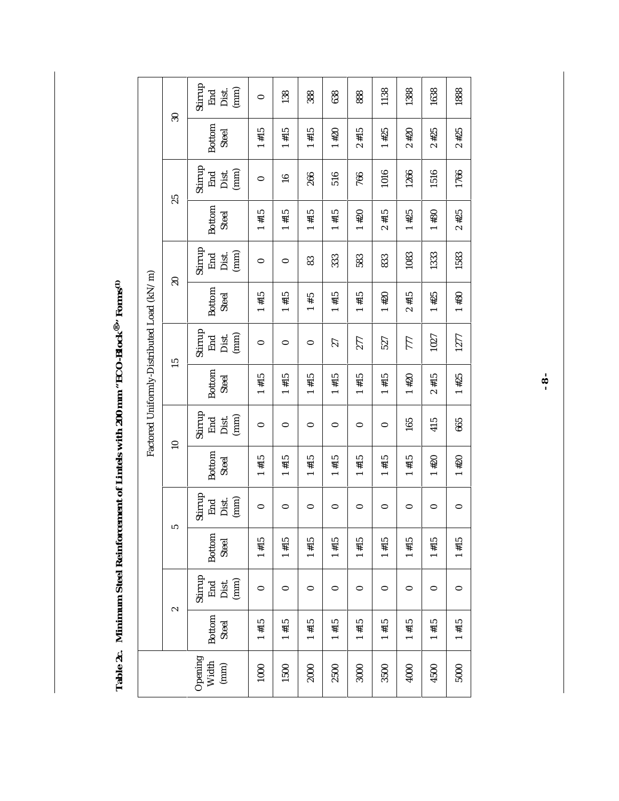Table 2c. Minimum Steel Reinforcement of Lintels with 200 mm "ECO-Block®" Forms<sup>(1)</sup> **Table 2c. Minimum Steel Reinforcement of Lintels with 200 mm "ECO-Block®" Forms(1)**

| Factored Uniformly-Distributed Load (kN/m) | $30\,$<br>25<br>$\overline{20}$<br>15<br>$\overline{10}$<br>щ, | Stirrup<br>End<br>Dist.<br>(mm)<br>Bottom<br>Steel<br>Stirrup<br>(mm)<br>Dist.<br>End<br>Bottom<br>Steel<br>Stirrup<br>(mm)<br>End<br>Dist.<br>Bottom<br>Steel<br>Stirrup<br>(mm)<br>Dist.<br>End<br>Bottom<br>Steel<br>Stirrup<br>(mm)<br>End<br>Dist.<br>Bottom<br>Steel<br>Stirrup<br>(mm)<br>Dist.<br>End<br>Bottom<br>Steel | 0<br>1#15<br>0<br>$1 + 15$<br>0<br>$1 + 15$<br>0<br>$1 + 15$<br>0<br>$1 + 15$<br>0<br>$1 + 15$ | 138<br>1#15<br>$\frac{6}{1}$<br>$1 + 15$<br>0<br>1#15<br>0<br>1#15<br>0<br>#15<br>0<br>1#15 | 388<br>#15<br>266<br>1#15<br>83<br>S<br>#<br>0<br>#15<br>0<br>#15<br>0<br>$1 + 15$ | 638<br>$1*20$<br>516<br>1#15<br>333<br>1#15<br>27<br>1#15<br>0<br>#15<br>0<br>1#15 | 888<br>$2 + 15$<br>766<br>$1 + 20$<br>583<br>$1 + 15$<br>277<br>$1 + 15$<br>0<br>$1 + 15$<br>0<br>1#15 | 1138<br>$1 + 25$<br>1016<br>$2 + 15$<br>833<br>$1 + 20$<br>527<br>1#15<br>0<br>#15<br>0<br>1#15 | 1388<br>$2*20$<br>1266<br>$1 + 25$<br>1083<br>$2 + 15$<br>777<br>$1 + 20$<br>165<br>#15<br>0<br>$1 + 15$ | 1638<br>$2*25$<br>1516<br>$1*30$<br>1333<br>$1 + 25$<br>1027<br>#15<br>$\sim$<br>415<br>$1 + 20$<br>0<br>1#15 |                                  |
|--------------------------------------------|----------------------------------------------------------------|----------------------------------------------------------------------------------------------------------------------------------------------------------------------------------------------------------------------------------------------------------------------------------------------------------------------------------|------------------------------------------------------------------------------------------------|---------------------------------------------------------------------------------------------|------------------------------------------------------------------------------------|------------------------------------------------------------------------------------|--------------------------------------------------------------------------------------------------------|-------------------------------------------------------------------------------------------------|----------------------------------------------------------------------------------------------------------|---------------------------------------------------------------------------------------------------------------|----------------------------------|
|                                            |                                                                |                                                                                                                                                                                                                                                                                                                                  |                                                                                                |                                                                                             |                                                                                    |                                                                                    |                                                                                                        |                                                                                                 |                                                                                                          |                                                                                                               | 665<br>$1 + 20$<br>0<br>$1 + 15$ |
|                                            | 2                                                              | Stirrup<br>End<br>Dist.<br>(mm)<br><b>Bottom</b><br>Steel<br>Opening<br>Width<br>(mm)                                                                                                                                                                                                                                            | $\bullet$<br>1#15<br>1000                                                                      | 0<br>$1 + 15$<br>1500                                                                       | $\circ$<br>$1 + 15$<br><b>2000</b>                                                 | 0<br>1#15<br>2500                                                                  | $\bullet$<br>$1 + 15$<br>3000                                                                          | 0<br>$1 + 15$<br>3500                                                                           | 0<br>$1 + 15$<br>4000                                                                                    | 0<br>$1 + 15$<br>4500                                                                                         | 0<br>$1 + 15$<br>5000            |

**- 8 -**